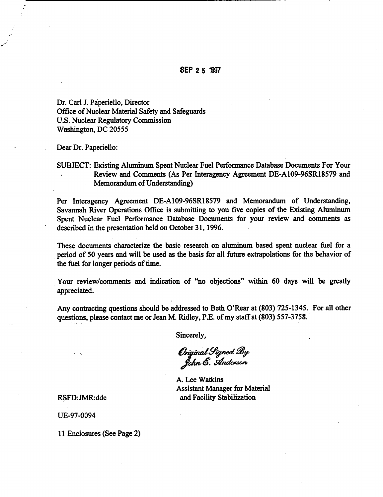Dr. Carl J. Paperiello, Director Office of Nuclear Material Safety and Safeguards U.S. Nuclear Regulatory Commission Washington, DC 20555

Dear Dr. Paperiello:

SUBJECT: Existing Aluminum Spent Nuclear Fuel Performance Database Documents For Your Review and Comments (As Per Interagency Agreement DE-A109-96SR18579 and Memorandum of Understanding)

Per Interagency Agreement DE-A109-96SR18579 and Memorandum of Understanding, Savannah River Operations Office is submitting to you five copies of the Existing Aluminum Spent Nuclear Fuel Performance Database Documents for your review and comments as described in the presentation held on October 31, 1996.

These documents characterize the basic research on aluminum based spent nuclear fuel for a period of 50 years and will be used as the basis for all future extrapolations for the behavior of the fuel for longer periods of time.

Your review/comments and indication of "no objections" within 60 days will be greatly appreciated.

Any contracting questions should be addressed to Beth O'Rear at (803) 725-1345. For all other questions, please contact me or Jean M. Ridley, P.E. of my staff at (803) 557-3758.

Sincerely,

Original Signed By<br>John E. Anderson

A. Lee Watkins Assistant Manager for Material RSFD:JMR:ddc and Facility Stabilization

UE-97-0094

11 Enclosures (See Page 2)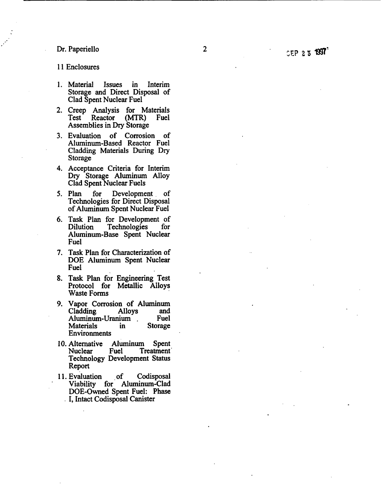## Dr. Paperiello

## 11 Enclosures

- 1. Material Issues in Interim Storage and Direct Disposal of Clad Spent Nuclear Fuel
- 2. Creep Analysis for Materials<br>Test Reactor (MTR) Fuel Test Reactor (MTR) Assemblies in Dry Storage
- 3. Evaluation of Corrosion of Aluminum-Based Reactor Fuel Cladding Materials During Dry Storage
- 4. Acceptance Criteria for Interim Dry Storage Aluminum Alloy Clad Spent Nuclear Fuels
- 5. Plan for Development of Technologies for Direct Disposal of Aluminum Spent Nuclear Fuel
- 6. Task Plan for Development of Technologies Aluminum-Base Spent Nuclear Fuel
- 7. Task Plan for Characterization of DOE Aluminum Spent Nuclear Fuel
- 8. Task Plan for Engineering Test Protocol for Metallic Alloys Waste Forms
- 9. Vapor Corrosion of Aluminum Cladding Alloys and Aluminum-Uranium Fuel<br>Materials in Storage **Environments**
- 10. Alternative Aluminum Spent<br>Nuclear Fuel Treatment Treatment<sup>1</sup> Technology Development Status Report
- 11. Evaluation of Codisposal Viability for Aluminum-Clad DOE-Owned Spent Fuel: Phase I, Intact Codisposal Canister